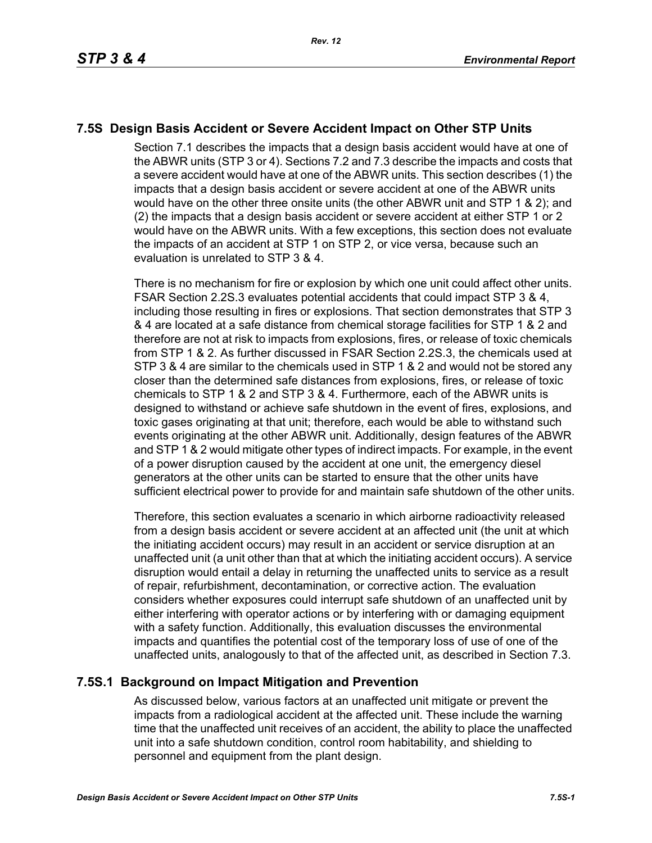# **7.5S Design Basis Accident or Severe Accident Impact on Other STP Units**

Section 7.1 describes the impacts that a design basis accident would have at one of the ABWR units (STP 3 or 4). Sections 7.2 and 7.3 describe the impacts and costs that a severe accident would have at one of the ABWR units. This section describes (1) the impacts that a design basis accident or severe accident at one of the ABWR units would have on the other three onsite units (the other ABWR unit and STP 1 & 2); and (2) the impacts that a design basis accident or severe accident at either STP 1 or 2 would have on the ABWR units. With a few exceptions, this section does not evaluate the impacts of an accident at STP 1 on STP 2, or vice versa, because such an evaluation is unrelated to STP 3 & 4.

There is no mechanism for fire or explosion by which one unit could affect other units. FSAR Section 2.2S.3 evaluates potential accidents that could impact STP 3 & 4, including those resulting in fires or explosions. That section demonstrates that STP 3 & 4 are located at a safe distance from chemical storage facilities for STP 1 & 2 and therefore are not at risk to impacts from explosions, fires, or release of toxic chemicals from STP 1 & 2. As further discussed in FSAR Section 2.2S.3, the chemicals used at STP 3 & 4 are similar to the chemicals used in STP 1 & 2 and would not be stored any closer than the determined safe distances from explosions, fires, or release of toxic chemicals to STP 1 & 2 and STP 3 & 4. Furthermore, each of the ABWR units is designed to withstand or achieve safe shutdown in the event of fires, explosions, and toxic gases originating at that unit; therefore, each would be able to withstand such events originating at the other ABWR unit. Additionally, design features of the ABWR and STP 1 & 2 would mitigate other types of indirect impacts. For example, in the event of a power disruption caused by the accident at one unit, the emergency diesel generators at the other units can be started to ensure that the other units have sufficient electrical power to provide for and maintain safe shutdown of the other units.

Therefore, this section evaluates a scenario in which airborne radioactivity released from a design basis accident or severe accident at an affected unit (the unit at which the initiating accident occurs) may result in an accident or service disruption at an unaffected unit (a unit other than that at which the initiating accident occurs). A service disruption would entail a delay in returning the unaffected units to service as a result of repair, refurbishment, decontamination, or corrective action. The evaluation considers whether exposures could interrupt safe shutdown of an unaffected unit by either interfering with operator actions or by interfering with or damaging equipment with a safety function. Additionally, this evaluation discusses the environmental impacts and quantifies the potential cost of the temporary loss of use of one of the unaffected units, analogously to that of the affected unit, as described in Section 7.3.

## **7.5S.1 Background on Impact Mitigation and Prevention**

As discussed below, various factors at an unaffected unit mitigate or prevent the impacts from a radiological accident at the affected unit. These include the warning time that the unaffected unit receives of an accident, the ability to place the unaffected unit into a safe shutdown condition, control room habitability, and shielding to personnel and equipment from the plant design.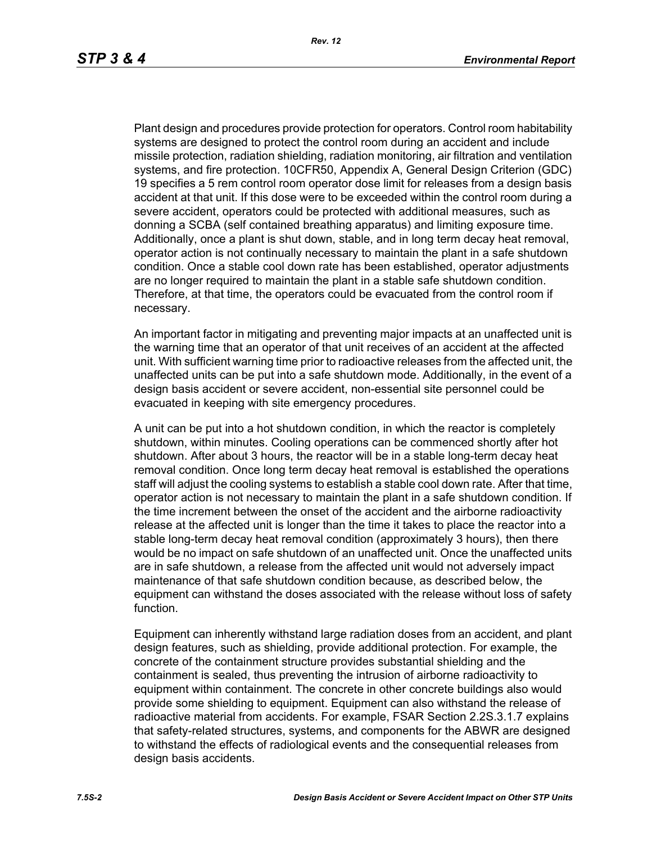Plant design and procedures provide protection for operators. Control room habitability systems are designed to protect the control room during an accident and include missile protection, radiation shielding, radiation monitoring, air filtration and ventilation systems, and fire protection. 10CFR50, Appendix A, General Design Criterion (GDC) 19 specifies a 5 rem control room operator dose limit for releases from a design basis accident at that unit. If this dose were to be exceeded within the control room during a severe accident, operators could be protected with additional measures, such as donning a SCBA (self contained breathing apparatus) and limiting exposure time. Additionally, once a plant is shut down, stable, and in long term decay heat removal, operator action is not continually necessary to maintain the plant in a safe shutdown condition. Once a stable cool down rate has been established, operator adjustments are no longer required to maintain the plant in a stable safe shutdown condition. Therefore, at that time, the operators could be evacuated from the control room if necessary.

An important factor in mitigating and preventing major impacts at an unaffected unit is the warning time that an operator of that unit receives of an accident at the affected unit. With sufficient warning time prior to radioactive releases from the affected unit, the unaffected units can be put into a safe shutdown mode. Additionally, in the event of a design basis accident or severe accident, non-essential site personnel could be evacuated in keeping with site emergency procedures.

A unit can be put into a hot shutdown condition, in which the reactor is completely shutdown, within minutes. Cooling operations can be commenced shortly after hot shutdown. After about 3 hours, the reactor will be in a stable long-term decay heat removal condition. Once long term decay heat removal is established the operations staff will adjust the cooling systems to establish a stable cool down rate. After that time, operator action is not necessary to maintain the plant in a safe shutdown condition. If the time increment between the onset of the accident and the airborne radioactivity release at the affected unit is longer than the time it takes to place the reactor into a stable long-term decay heat removal condition (approximately 3 hours), then there would be no impact on safe shutdown of an unaffected unit. Once the unaffected units are in safe shutdown, a release from the affected unit would not adversely impact maintenance of that safe shutdown condition because, as described below, the equipment can withstand the doses associated with the release without loss of safety function.

Equipment can inherently withstand large radiation doses from an accident, and plant design features, such as shielding, provide additional protection. For example, the concrete of the containment structure provides substantial shielding and the containment is sealed, thus preventing the intrusion of airborne radioactivity to equipment within containment. The concrete in other concrete buildings also would provide some shielding to equipment. Equipment can also withstand the release of radioactive material from accidents. For example, FSAR Section 2.2S.3.1.7 explains that safety-related structures, systems, and components for the ABWR are designed to withstand the effects of radiological events and the consequential releases from design basis accidents.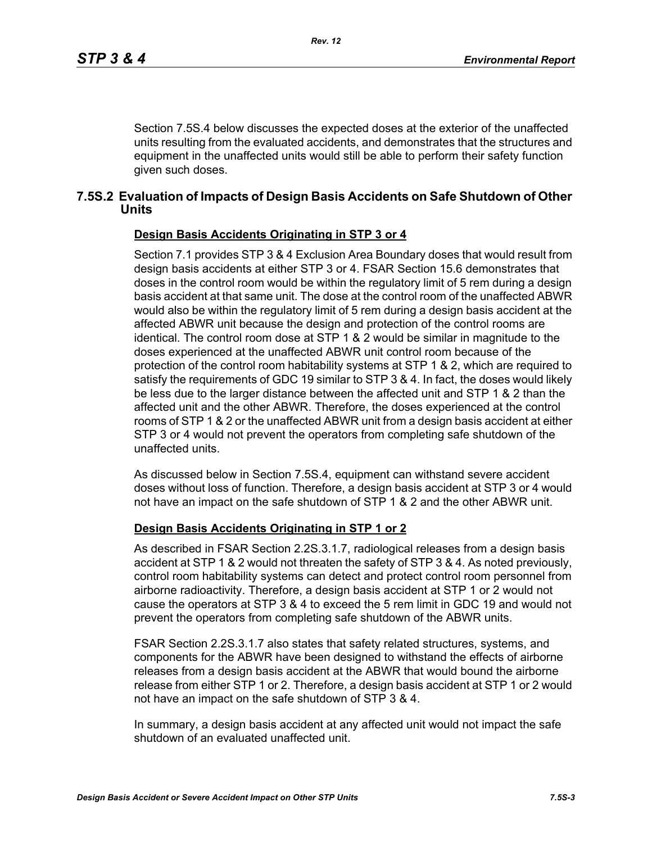Section 7.5S.4 below discusses the expected doses at the exterior of the unaffected units resulting from the evaluated accidents, and demonstrates that the structures and equipment in the unaffected units would still be able to perform their safety function given such doses.

### **7.5S.2 Evaluation of Impacts of Design Basis Accidents on Safe Shutdown of Other Units**

#### **Design Basis Accidents Originating in STP 3 or 4**

Section 7.1 provides STP 3 & 4 Exclusion Area Boundary doses that would result from design basis accidents at either STP 3 or 4. FSAR Section 15.6 demonstrates that doses in the control room would be within the regulatory limit of 5 rem during a design basis accident at that same unit. The dose at the control room of the unaffected ABWR would also be within the regulatory limit of 5 rem during a design basis accident at the affected ABWR unit because the design and protection of the control rooms are identical. The control room dose at STP 1 & 2 would be similar in magnitude to the doses experienced at the unaffected ABWR unit control room because of the protection of the control room habitability systems at STP 1 & 2, which are required to satisfy the requirements of GDC 19 similar to STP 3 & 4. In fact, the doses would likely be less due to the larger distance between the affected unit and STP 1 & 2 than the affected unit and the other ABWR. Therefore, the doses experienced at the control rooms of STP 1 & 2 or the unaffected ABWR unit from a design basis accident at either STP 3 or 4 would not prevent the operators from completing safe shutdown of the unaffected units.

As discussed below in Section 7.5S.4, equipment can withstand severe accident doses without loss of function. Therefore, a design basis accident at STP 3 or 4 would not have an impact on the safe shutdown of STP 1 & 2 and the other ABWR unit.

#### **Design Basis Accidents Originating in STP 1 or 2**

As described in FSAR Section 2.2S.3.1.7, radiological releases from a design basis accident at STP 1 & 2 would not threaten the safety of STP 3 & 4. As noted previously, control room habitability systems can detect and protect control room personnel from airborne radioactivity. Therefore, a design basis accident at STP 1 or 2 would not cause the operators at STP 3 & 4 to exceed the 5 rem limit in GDC 19 and would not prevent the operators from completing safe shutdown of the ABWR units.

FSAR Section 2.2S.3.1.7 also states that safety related structures, systems, and components for the ABWR have been designed to withstand the effects of airborne releases from a design basis accident at the ABWR that would bound the airborne release from either STP 1 or 2. Therefore, a design basis accident at STP 1 or 2 would not have an impact on the safe shutdown of STP 3 & 4.

In summary, a design basis accident at any affected unit would not impact the safe shutdown of an evaluated unaffected unit.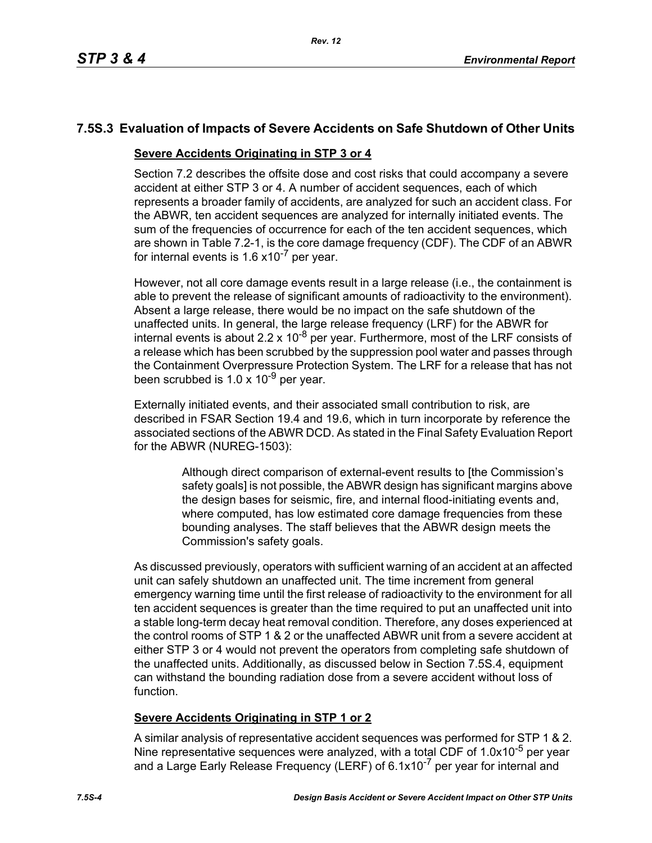## **7.5S.3 Evaluation of Impacts of Severe Accidents on Safe Shutdown of Other Units**

### **Severe Accidents Originating in STP 3 or 4**

Section 7.2 describes the offsite dose and cost risks that could accompany a severe accident at either STP 3 or 4. A number of accident sequences, each of which represents a broader family of accidents, are analyzed for such an accident class. For the ABWR, ten accident sequences are analyzed for internally initiated events. The sum of the frequencies of occurrence for each of the ten accident sequences, which are shown in Table 7.2-1, is the core damage frequency (CDF). The CDF of an ABWR for internal events is  $1.6 \times 10^{-7}$  per year.

However, not all core damage events result in a large release (i.e., the containment is able to prevent the release of significant amounts of radioactivity to the environment). Absent a large release, there would be no impact on the safe shutdown of the unaffected units. In general, the large release frequency (LRF) for the ABWR for internal events is about 2.2 x 10<sup>-8</sup> per year. Furthermore, most of the LRF consists of a release which has been scrubbed by the suppression pool water and passes through the Containment Overpressure Protection System. The LRF for a release that has not been scrubbed is  $1.0 \times 10^{-9}$  per year.

Externally initiated events, and their associated small contribution to risk, are described in FSAR Section 19.4 and 19.6, which in turn incorporate by reference the associated sections of the ABWR DCD. As stated in the Final Safety Evaluation Report for the ABWR (NUREG-1503):

> Although direct comparison of external-event results to [the Commission's safety goals] is not possible, the ABWR design has significant margins above the design bases for seismic, fire, and internal flood-initiating events and, where computed, has low estimated core damage frequencies from these bounding analyses. The staff believes that the ABWR design meets the Commission's safety goals.

As discussed previously, operators with sufficient warning of an accident at an affected unit can safely shutdown an unaffected unit. The time increment from general emergency warning time until the first release of radioactivity to the environment for all ten accident sequences is greater than the time required to put an unaffected unit into a stable long-term decay heat removal condition. Therefore, any doses experienced at the control rooms of STP 1 & 2 or the unaffected ABWR unit from a severe accident at either STP 3 or 4 would not prevent the operators from completing safe shutdown of the unaffected units. Additionally, as discussed below in Section 7.5S.4, equipment can withstand the bounding radiation dose from a severe accident without loss of function.

## **Severe Accidents Originating in STP 1 or 2**

A similar analysis of representative accident sequences was performed for STP 1 & 2. Nine representative sequences were analyzed, with a total CDF of 1.0x10<sup>-5</sup> per year and a Large Early Release Frequency (LERF) of 6.1x10<sup>-7</sup> per year for internal and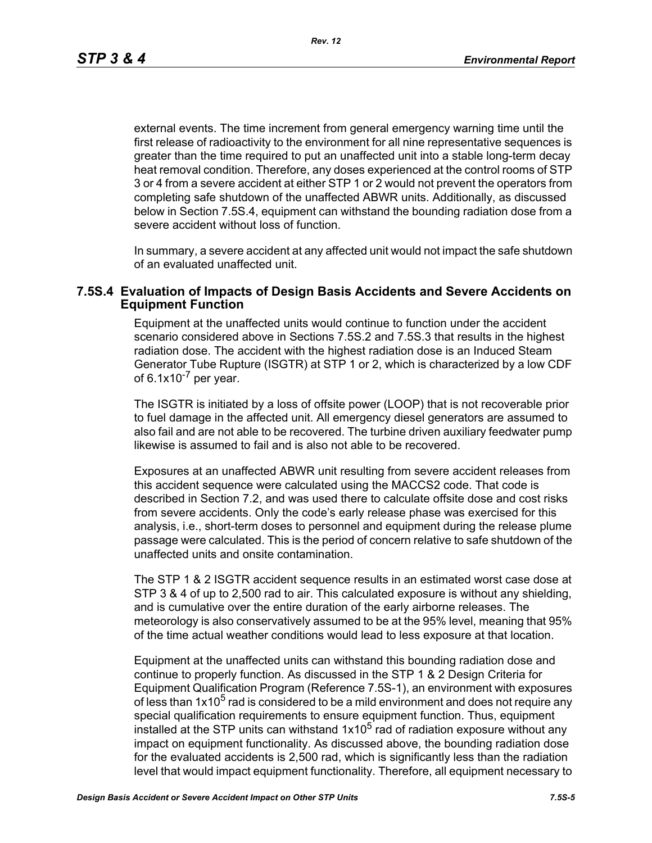*Rev. 12*

external events. The time increment from general emergency warning time until the first release of radioactivity to the environment for all nine representative sequences is greater than the time required to put an unaffected unit into a stable long-term decay heat removal condition. Therefore, any doses experienced at the control rooms of STP 3 or 4 from a severe accident at either STP 1 or 2 would not prevent the operators from completing safe shutdown of the unaffected ABWR units. Additionally, as discussed below in Section 7.5S.4, equipment can withstand the bounding radiation dose from a severe accident without loss of function.

In summary, a severe accident at any affected unit would not impact the safe shutdown of an evaluated unaffected unit.

### **7.5S.4 Evaluation of Impacts of Design Basis Accidents and Severe Accidents on Equipment Function**

Equipment at the unaffected units would continue to function under the accident scenario considered above in Sections 7.5S.2 and 7.5S.3 that results in the highest radiation dose. The accident with the highest radiation dose is an Induced Steam Generator Tube Rupture (ISGTR) at STP 1 or 2, which is characterized by a low CDF of  $6.1x10^{-7}$  per year.

The ISGTR is initiated by a loss of offsite power (LOOP) that is not recoverable prior to fuel damage in the affected unit. All emergency diesel generators are assumed to also fail and are not able to be recovered. The turbine driven auxiliary feedwater pump likewise is assumed to fail and is also not able to be recovered.

Exposures at an unaffected ABWR unit resulting from severe accident releases from this accident sequence were calculated using the MACCS2 code. That code is described in Section 7.2, and was used there to calculate offsite dose and cost risks from severe accidents. Only the code's early release phase was exercised for this analysis, i.e., short-term doses to personnel and equipment during the release plume passage were calculated. This is the period of concern relative to safe shutdown of the unaffected units and onsite contamination.

The STP 1 & 2 ISGTR accident sequence results in an estimated worst case dose at STP 3 & 4 of up to 2,500 rad to air. This calculated exposure is without any shielding, and is cumulative over the entire duration of the early airborne releases. The meteorology is also conservatively assumed to be at the 95% level, meaning that 95% of the time actual weather conditions would lead to less exposure at that location.

Equipment at the unaffected units can withstand this bounding radiation dose and continue to properly function. As discussed in the STP 1 & 2 Design Criteria for Equipment Qualification Program (Reference 7.5S-1), an environment with exposures of less than  $1x10<sup>5</sup>$  rad is considered to be a mild environment and does not require any special qualification requirements to ensure equipment function. Thus, equipment installed at the STP units can withstand  $1x10<sup>5</sup>$  rad of radiation exposure without any impact on equipment functionality. As discussed above, the bounding radiation dose for the evaluated accidents is 2,500 rad, which is significantly less than the radiation level that would impact equipment functionality. Therefore, all equipment necessary to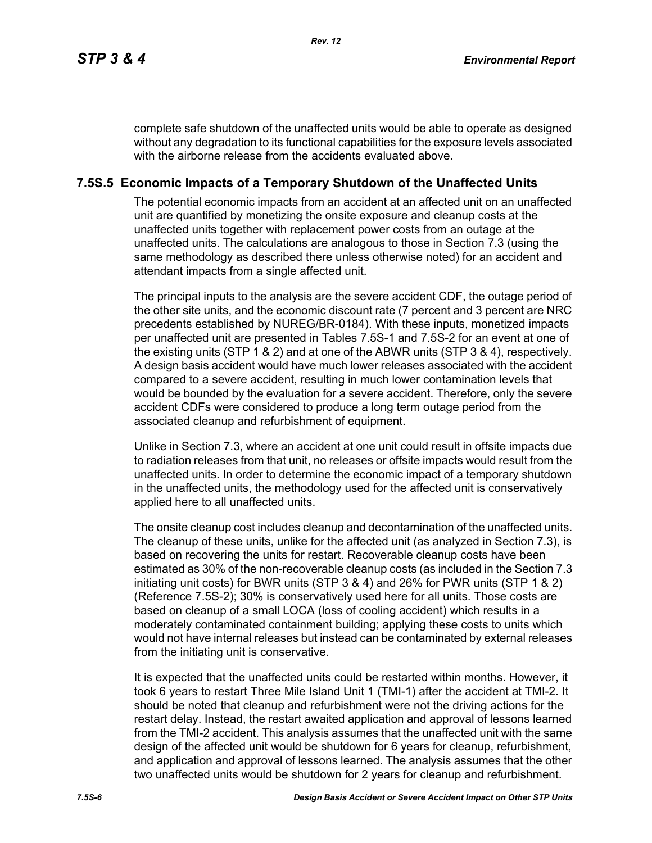complete safe shutdown of the unaffected units would be able to operate as designed without any degradation to its functional capabilities for the exposure levels associated with the airborne release from the accidents evaluated above.

### **7.5S.5 Economic Impacts of a Temporary Shutdown of the Unaffected Units**

The potential economic impacts from an accident at an affected unit on an unaffected unit are quantified by monetizing the onsite exposure and cleanup costs at the unaffected units together with replacement power costs from an outage at the unaffected units. The calculations are analogous to those in Section 7.3 (using the same methodology as described there unless otherwise noted) for an accident and attendant impacts from a single affected unit.

The principal inputs to the analysis are the severe accident CDF, the outage period of the other site units, and the economic discount rate (7 percent and 3 percent are NRC precedents established by NUREG/BR-0184). With these inputs, monetized impacts per unaffected unit are presented in Tables 7.5S-1 and 7.5S-2 for an event at one of the existing units (STP 1 & 2) and at one of the ABWR units (STP 3 & 4), respectively. A design basis accident would have much lower releases associated with the accident compared to a severe accident, resulting in much lower contamination levels that would be bounded by the evaluation for a severe accident. Therefore, only the severe accident CDFs were considered to produce a long term outage period from the associated cleanup and refurbishment of equipment.

Unlike in Section 7.3, where an accident at one unit could result in offsite impacts due to radiation releases from that unit, no releases or offsite impacts would result from the unaffected units. In order to determine the economic impact of a temporary shutdown in the unaffected units, the methodology used for the affected unit is conservatively applied here to all unaffected units.

The onsite cleanup cost includes cleanup and decontamination of the unaffected units. The cleanup of these units, unlike for the affected unit (as analyzed in Section 7.3), is based on recovering the units for restart. Recoverable cleanup costs have been estimated as 30% of the non-recoverable cleanup costs (as included in the Section 7.3 initiating unit costs) for BWR units (STP 3 & 4) and 26% for PWR units (STP 1 & 2) (Reference 7.5S-2); 30% is conservatively used here for all units. Those costs are based on cleanup of a small LOCA (loss of cooling accident) which results in a moderately contaminated containment building; applying these costs to units which would not have internal releases but instead can be contaminated by external releases from the initiating unit is conservative.

It is expected that the unaffected units could be restarted within months. However, it took 6 years to restart Three Mile Island Unit 1 (TMI-1) after the accident at TMI-2. It should be noted that cleanup and refurbishment were not the driving actions for the restart delay. Instead, the restart awaited application and approval of lessons learned from the TMI-2 accident. This analysis assumes that the unaffected unit with the same design of the affected unit would be shutdown for 6 years for cleanup, refurbishment, and application and approval of lessons learned. The analysis assumes that the other two unaffected units would be shutdown for 2 years for cleanup and refurbishment.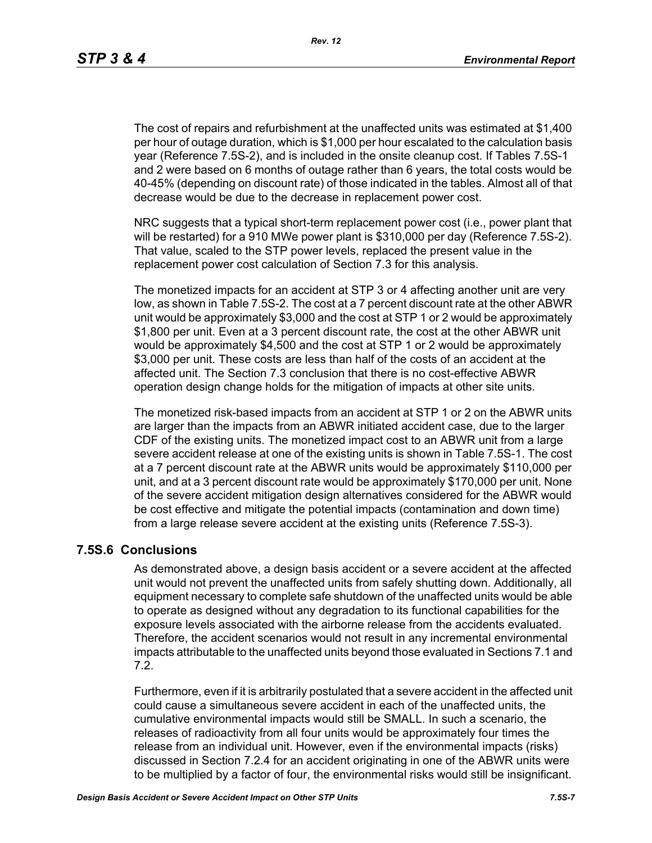The cost of repairs and refurbishment at the unaffected units was estimated at \$1,400 per hour of outage duration, which is \$1,000 per hour escalated to the calculation basis year (Reference 7.5S-2), and is included in the onsite cleanup cost. If Tables 7.5S-1 and 2 were based on 6 months of outage rather than 6 years, the total costs would be 40-45% (depending on discount rate) of those indicated in the tables. Almost all of that decrease would be due to the decrease in replacement power cost.

NRC suggests that a typical short-term replacement power cost (i.e., power plant that will be restarted) for a 910 MWe power plant is \$310,000 per day (Reference 7.5S-2). That value, scaled to the STP power levels, replaced the present value in the replacement power cost calculation of Section 7.3 for this analysis.

The monetized impacts for an accident at STP 3 or 4 affecting another unit are very low, as shown in Table 7.5S-2. The cost at a 7 percent discount rate at the other ABWR unit would be approximately \$3,000 and the cost at STP 1 or 2 would be approximately \$1,800 per unit. Even at a 3 percent discount rate, the cost at the other ABWR unit would be approximately \$4,500 and the cost at STP 1 or 2 would be approximately \$3,000 per unit. These costs are less than half of the costs of an accident at the affected unit. The Section 7.3 conclusion that there is no cost-effective ABWR operation design change holds for the mitigation of impacts at other site units.

The monetized risk-based impacts from an accident at STP 1 or 2 on the ABWR units are larger than the impacts from an ABWR initiated accident case, due to the larger CDF of the existing units. The monetized impact cost to an ABWR unit from a large severe accident release at one of the existing units is shown in Table 7.5S-1. The cost at a 7 percent discount rate at the ABWR units would be approximately \$110,000 per unit, and at a 3 percent discount rate would be approximately \$170,000 per unit. None of the severe accident mitigation design alternatives considered for the ABWR would be cost effective and mitigate the potential impacts (contamination and down time) from a large release severe accident at the existing units (Reference 7.5S-3).

### **7.5S.6 Conclusions**

As demonstrated above, a design basis accident or a severe accident at the affected unit would not prevent the unaffected units from safely shutting down. Additionally, all equipment necessary to complete safe shutdown of the unaffected units would be able to operate as designed without any degradation to its functional capabilities for the exposure levels associated with the airborne release from the accidents evaluated. Therefore, the accident scenarios would not result in any incremental environmental impacts attributable to the unaffected units beyond those evaluated in Sections 7.1 and 7.2.

Furthermore, even if it is arbitrarily postulated that a severe accident in the affected unit could cause a simultaneous severe accident in each of the unaffected units, the cumulative environmental impacts would still be SMALL. In such a scenario, the releases of radioactivity from all four units would be approximately four times the release from an individual unit. However, even if the environmental impacts (risks) discussed in Section 7.2.4 for an accident originating in one of the ABWR units were to be multiplied by a factor of four, the environmental risks would still be insignificant.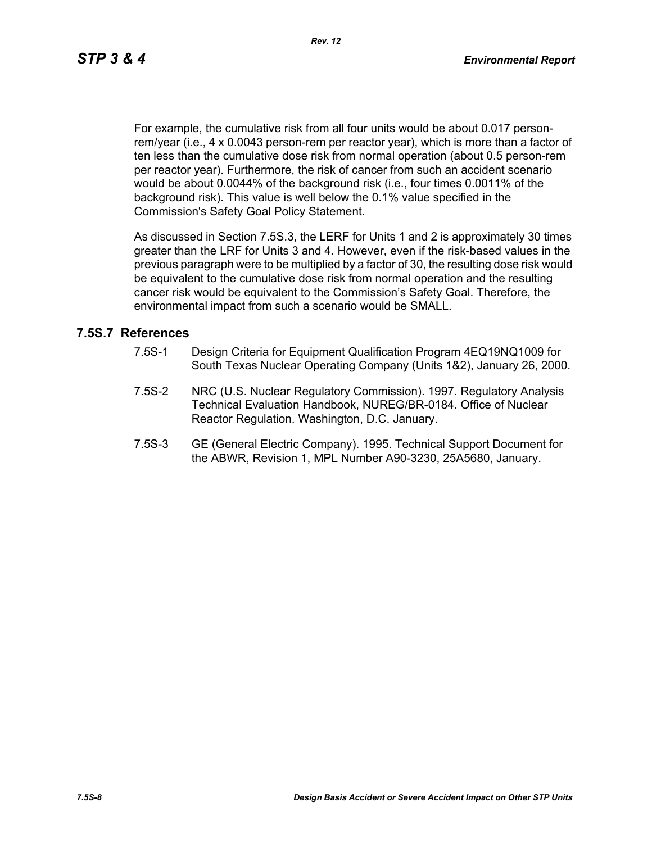For example, the cumulative risk from all four units would be about 0.017 personrem/year (i.e., 4 x 0.0043 person-rem per reactor year), which is more than a factor of ten less than the cumulative dose risk from normal operation (about 0.5 person-rem per reactor year). Furthermore, the risk of cancer from such an accident scenario would be about 0.0044% of the background risk (i.e., four times 0.0011% of the background risk). This value is well below the 0.1% value specified in the Commission's Safety Goal Policy Statement.

As discussed in Section 7.5S.3, the LERF for Units 1 and 2 is approximately 30 times greater than the LRF for Units 3 and 4. However, even if the risk-based values in the previous paragraph were to be multiplied by a factor of 30, the resulting dose risk would be equivalent to the cumulative dose risk from normal operation and the resulting cancer risk would be equivalent to the Commission's Safety Goal. Therefore, the environmental impact from such a scenario would be SMALL.

### **7.5S.7 References**

- 7.5S-1 Design Criteria for Equipment Qualification Program 4EQ19NQ1009 for South Texas Nuclear Operating Company (Units 1&2), January 26, 2000.
- 7.5S-2 NRC (U.S. Nuclear Regulatory Commission). 1997. Regulatory Analysis Technical Evaluation Handbook, NUREG/BR-0184. Office of Nuclear Reactor Regulation. Washington, D.C. January.
- 7.5S-3 GE (General Electric Company). 1995. Technical Support Document for the ABWR, Revision 1, MPL Number A90-3230, 25A5680, January.